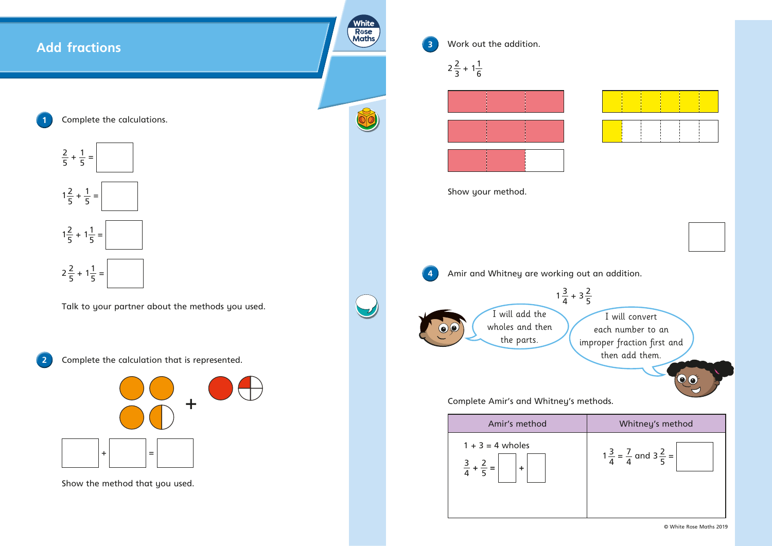